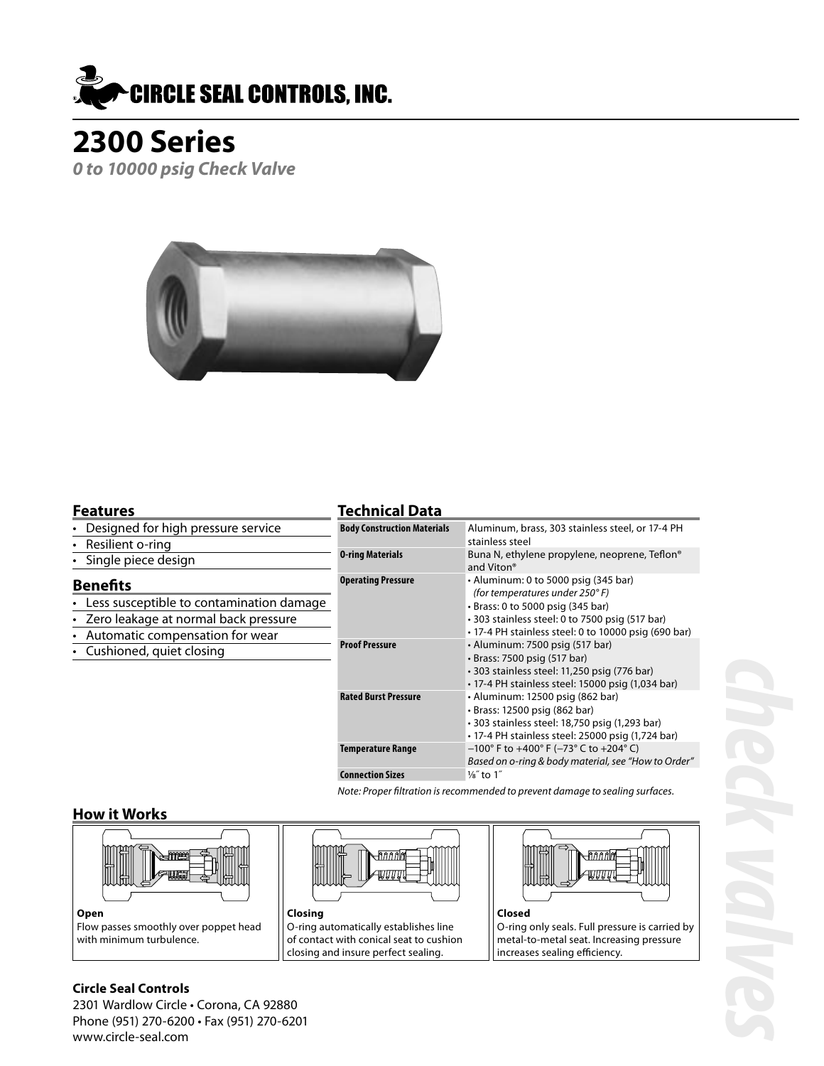

# **2300 Series**

**0 to 10000 psig Check Valve**



### **Features**

• Designed for high pressure service

### • Resilient o-ring

• Single piece design

### **Benefits**

- Less susceptible to contamination damage
- Zero leakage at normal back pressure
- Automatic compensation for wear
- Cushioned, quiet closing

### **Technical Data**

| וכלוווולמו המימ                    |                                                                                                                                                                                                                        |
|------------------------------------|------------------------------------------------------------------------------------------------------------------------------------------------------------------------------------------------------------------------|
| <b>Body Construction Materials</b> | Aluminum, brass, 303 stainless steel, or 17-4 PH<br>stainless steel                                                                                                                                                    |
| <b>0-ring Materials</b>            | Buna N, ethylene propylene, neoprene, Teflon <sup>®</sup><br>and Viton®                                                                                                                                                |
| <b>Operating Pressure</b>          | • Aluminum: 0 to 5000 psig (345 bar)<br>(for temperatures under 250°F)<br>• Brass: 0 to 5000 psig (345 bar)<br>• 303 stainless steel: 0 to 7500 psig (517 bar)<br>• 17-4 PH stainless steel: 0 to 10000 psig (690 bar) |
| <b>Proof Pressure</b>              | • Aluminum: 7500 psig (517 bar)<br>• Brass: 7500 psig (517 bar)<br>· 303 stainless steel: 11,250 psig (776 bar)<br>• 17-4 PH stainless steel: 15000 psig (1,034 bar)                                                   |
| <b>Rated Burst Pressure</b>        | • Aluminum: 12500 psig (862 bar)<br>· Brass: 12500 psig (862 bar)<br>• 303 stainless steel: 18,750 psig (1,293 bar)<br>• 17-4 PH stainless steel: 25000 psig (1,724 bar)                                               |
| <b>Temperature Range</b>           | $-100^{\circ}$ F to $+400^{\circ}$ F ( $-73^{\circ}$ C to $+204^{\circ}$ C)<br>Based on o-ring & body material, see "How to Order"                                                                                     |
| <b>Connection Sizes</b>            | 1⁄8″ to 1″                                                                                                                                                                                                             |

Note: Proper filtration is recommended to prevent damage to sealing surfaces.

### **How it Works**



Flow passes smoothly over poppet head with minimum turbulence.



O-ring automatically establishes line of contact with conical seat to cushion closing and insure perfect sealing.



O-ring only seals. Full pressure is carried by metal-to-metal seat. Increasing pressure increases sealing efficiency.

### **Circle Seal Controls**

2301 Wardlow Circle • Corona, CA 92880 Phone (951) 270-6200 • Fax (951) 270-6201 www.circle-seal.com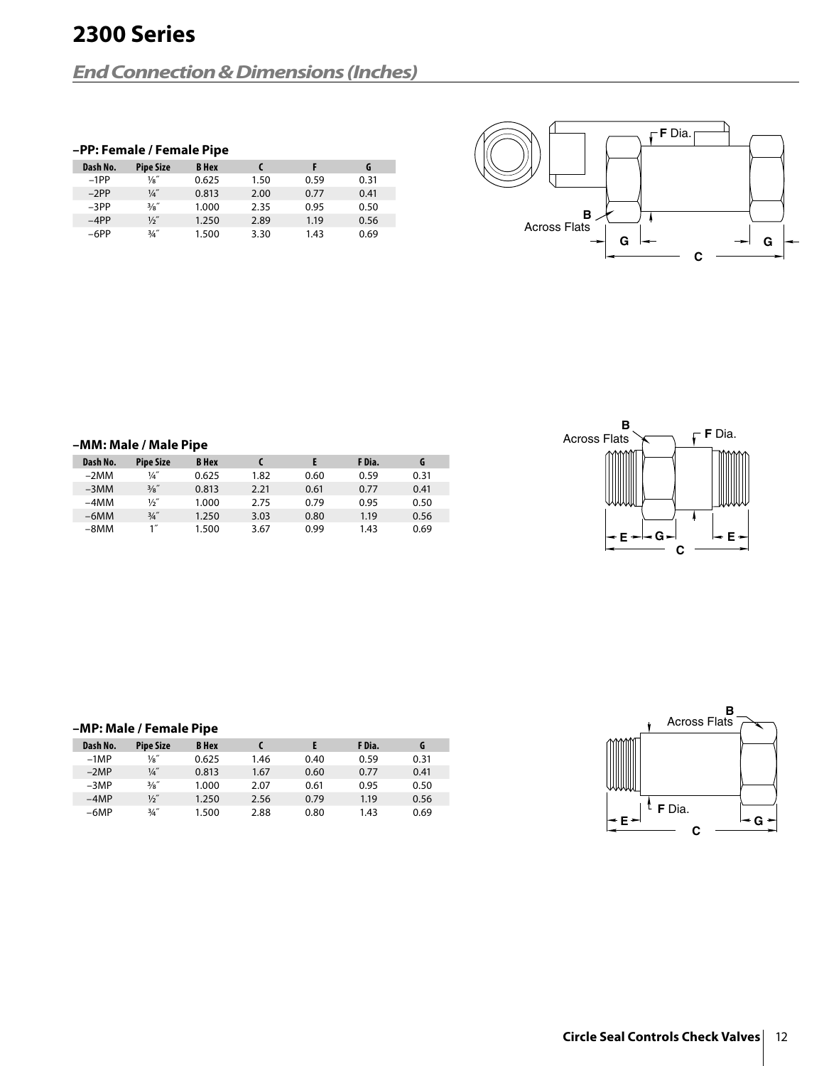### **End Connection & Dimensions (Inches)**

|  |  |  | -PP: Female / Female Pipe |  |
|--|--|--|---------------------------|--|
|--|--|--|---------------------------|--|

| Dash No. | <b>Pipe Size</b> | <b>B</b> Hex |      |      | G    |
|----------|------------------|--------------|------|------|------|
| $-1PP$   | 1⁄8″             | 0.625        | 1.50 | 0.59 | 0.31 |
| $-2PP$   | 1⁄4″             | 0.813        | 2.00 | 0.77 | 0.41 |
| $-3PP$   | $\frac{3}{8}$    | 1.000        | 2.35 | 0.95 | 0.50 |
| $-4PP$   | 1/5″             | 1.250        | 2.89 | 1.19 | 0.56 |
| $-6PP$   | $\frac{3}{4}$ "  | 1.500        | 3.30 | 1.43 | 0.69 |



| –MM: Male / Male Pipe |                  |              |      |      |        |      |  |
|-----------------------|------------------|--------------|------|------|--------|------|--|
| Dash No.              | <b>Pipe Size</b> | <b>B</b> Hex |      |      | F Dia. | G    |  |
| $-2MM$                | 1/4″             | 0.625        | 1.82 | 0.60 | 0.59   | 0.31 |  |
| $-3MM$                | 3/8"             | 0.813        | 2.21 | 0.61 | 0.77   | 0.41 |  |
| $-4MM$                | $\frac{1}{2}$    | 1.000        | 2.75 | 0.79 | 0.95   | 0.50 |  |
| $-6MM$                | $\frac{3}{4}$ "  | 1.250        | 3.03 | 0.80 | 1.19   | 0.56 |  |
| $-8MM$                | 1''              | 1.500        | 3.67 | 0.99 | 1.43   | 0.69 |  |



### **–MP: Male / Female Pipe**

| Dash No. | <b>Pipe Size</b> | <b>B</b> Hex |      |      | F Dia. | G    |
|----------|------------------|--------------|------|------|--------|------|
| $-1MP$   | 1⁄8″             | 0.625        | 1.46 | 0.40 | 0.59   | 0.31 |
| $-2MP$   | 1⁄4″             | 0.813        | 1.67 | 0.60 | 0.77   | 0.41 |
| $-3MP$   | $\frac{3}{8}$    | 1.000        | 2.07 | 0.61 | 0.95   | 0.50 |
| $-4MP$   | 1/2″             | 1.250        | 2.56 | 0.79 | 1.19   | 0.56 |
| $-6MP$   | $\frac{3}{4}$    | 1.500        | 2.88 | 0.80 | 1.43   | 0.69 |

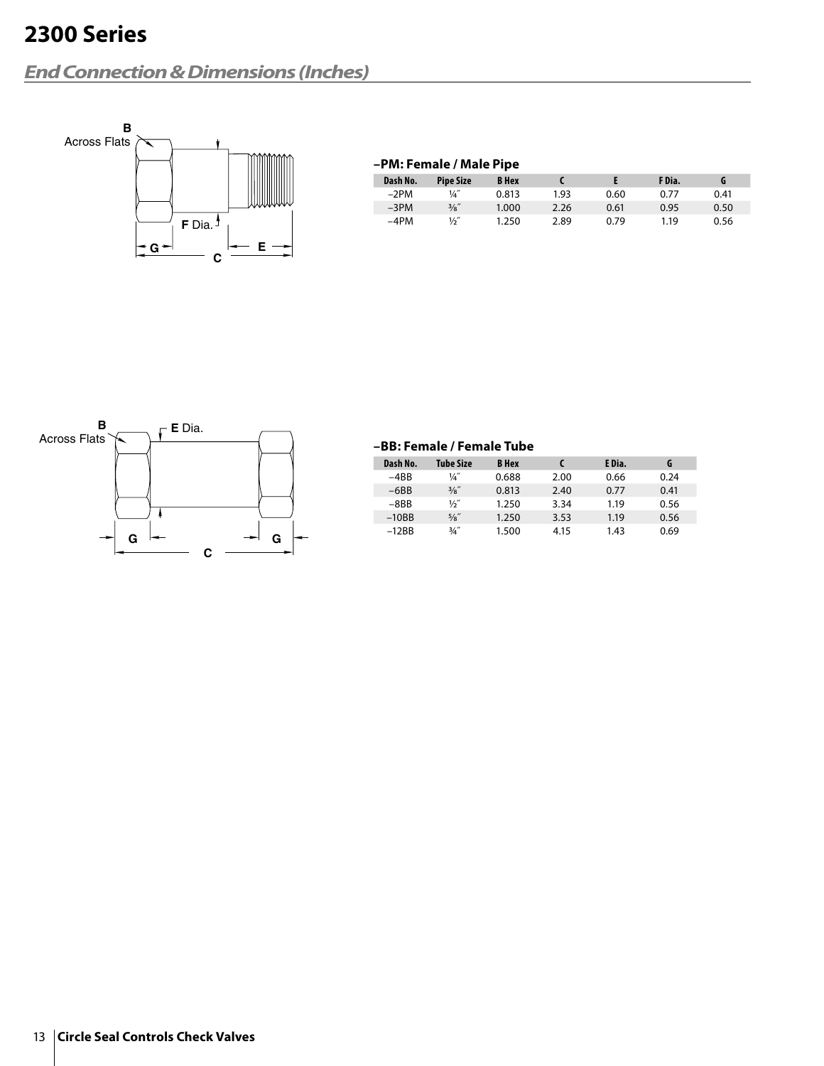## **2300 Series**

### **End Connection & Dimensions (Inches)**



| -PM: Female / Male Pipe |                  |              |      |      |        |      |  |
|-------------------------|------------------|--------------|------|------|--------|------|--|
| Dash No.                | <b>Pipe Size</b> | <b>B</b> Hex |      |      | F Dia. | G    |  |
| $-2PM$                  | ¼″               | 0.813        | 1.93 | 0.60 | 0.77   | 0.41 |  |
| $-3PM$                  | $\frac{3}{8}$ "  | 1.000        | 2.26 | 0.61 | 0.95   | 0.50 |  |
| $-4PM$                  | 1/5″             | 1.250        | 2.89 | 0.79 | 1.19   | 0.56 |  |



### **–BB: Female / Female Tube**

| Dash No. | Tube Size       | <b>B</b> Hex |      | E Dia. | G    |
|----------|-----------------|--------------|------|--------|------|
| $-4BB$   | $\frac{1}{4}$   | 0.688        | 2.00 | 0.66   | 0.24 |
| $-6BB$   | $\frac{3}{8}$ " | 0.813        | 2.40 | 0.77   | 0.41 |
| $-8BB$   | 1/5″            | 1.250        | 3.34 | 1.19   | 0.56 |
| $-10BB$  | 5/8"            | 1.250        | 3.53 | 1.19   | 0.56 |
| $-12BB$  | $3/4$ "         | 1.500        | 4.15 | 1.43   | 0.69 |